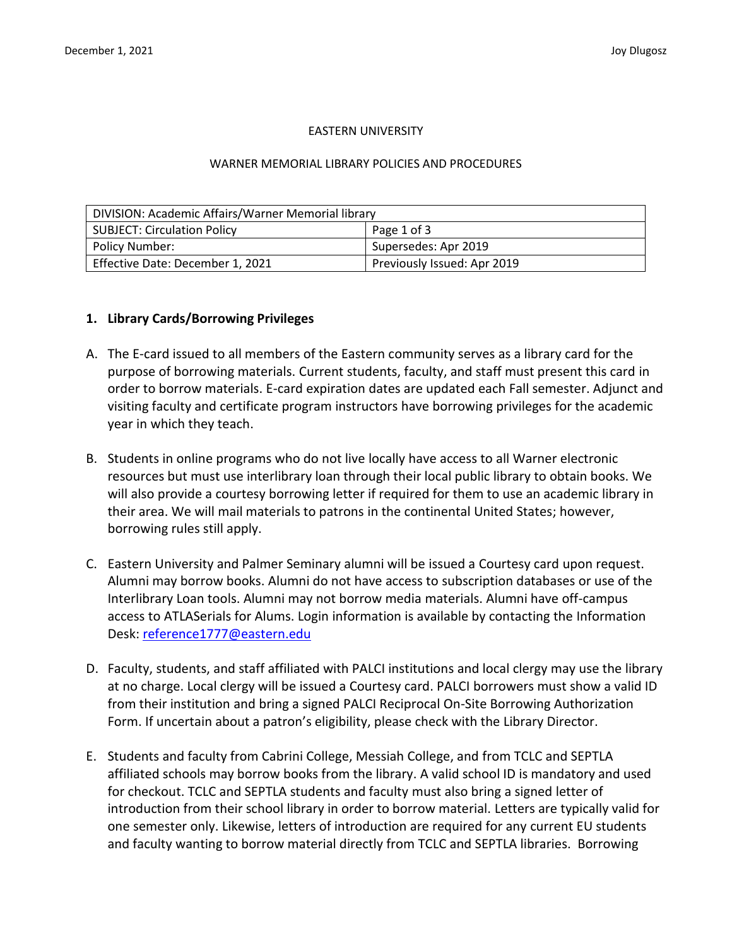### EASTERN UNIVERSITY

#### WARNER MEMORIAL LIBRARY POLICIES AND PROCEDURES

| DIVISION: Academic Affairs/Warner Memorial library |                             |  |
|----------------------------------------------------|-----------------------------|--|
| <b>SUBJECT: Circulation Policy</b>                 | Page 1 of 3                 |  |
| Policy Number:                                     | Supersedes: Apr 2019        |  |
| Effective Date: December 1, 2021                   | Previously Issued: Apr 2019 |  |

### **1. Library Cards/Borrowing Privileges**

- A. The E-card issued to all members of the Eastern community serves as a library card for the purpose of borrowing materials. Current students, faculty, and staff must present this card in order to borrow materials. E-card expiration dates are updated each Fall semester. Adjunct and visiting faculty and certificate program instructors have borrowing privileges for the academic year in which they teach.
- B. Students in online programs who do not live locally have access to all Warner electronic resources but must use interlibrary loan through their local public library to obtain books. We will also provide a courtesy borrowing letter if required for them to use an academic library in their area. We will mail materials to patrons in the continental United States; however, borrowing rules still apply.
- C. Eastern University and Palmer Seminary alumni will be issued a Courtesy card upon request. Alumni may borrow books. Alumni do not have access to subscription databases or use of the Interlibrary Loan tools. Alumni may not borrow media materials. Alumni have off-campus access to ATLASerials for Alums. Login information is available by contacting the Information Desk: [reference1777@eastern.edu](mailto:reference1777@eastern.edu)
- D. Faculty, students, and staff affiliated with PALCI institutions and local clergy may use the library at no charge. Local clergy will be issued a Courtesy card. PALCI borrowers must show a valid ID from their institution and bring a signed PALCI Reciprocal On-Site Borrowing Authorization Form. If uncertain about a patron's eligibility, please check with the Library Director.
- E. Students and faculty from Cabrini College, Messiah College, and from TCLC and SEPTLA affiliated schools may borrow books from the library. A valid school ID is mandatory and used for checkout. TCLC and SEPTLA students and faculty must also bring a signed letter of introduction from their school library in order to borrow material. Letters are typically valid for one semester only. Likewise, letters of introduction are required for any current EU students and faculty wanting to borrow material directly from TCLC and SEPTLA libraries. Borrowing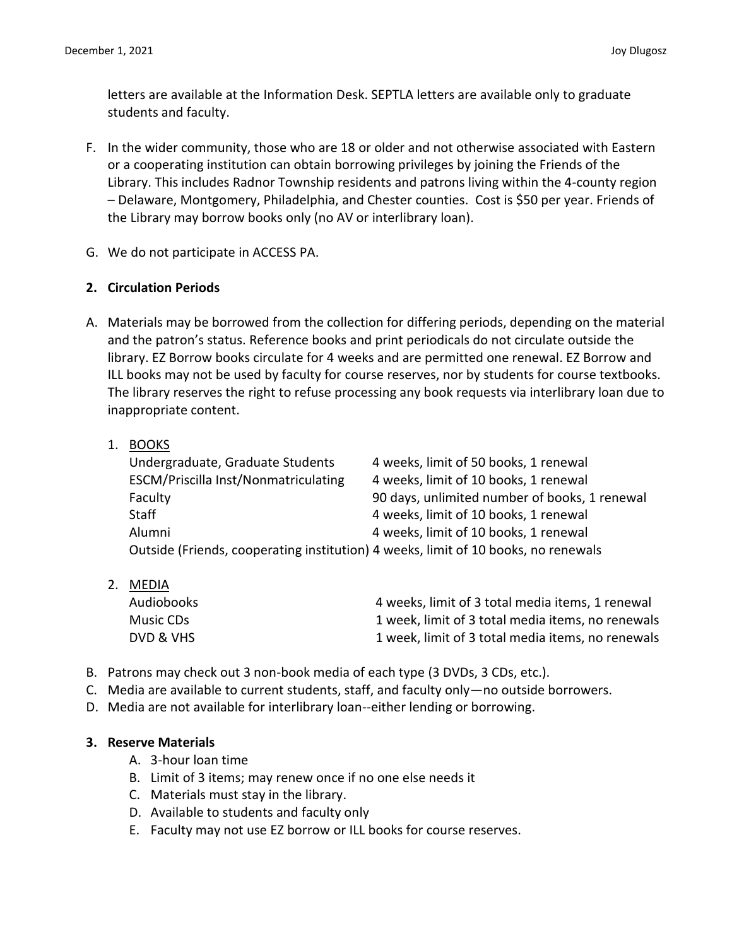letters are available at the Information Desk. SEPTLA letters are available only to graduate students and faculty.

- F. In the wider community, those who are 18 or older and not otherwise associated with Eastern or a cooperating institution can obtain borrowing privileges by joining the Friends of the Library. This includes Radnor Township residents and patrons living within the 4-county region – Delaware, Montgomery, Philadelphia, and Chester counties. Cost is \$50 per year. Friends of the Library may borrow books only (no AV or interlibrary loan).
- G. We do not participate in ACCESS PA.

# **2. Circulation Periods**

A. Materials may be borrowed from the collection for differing periods, depending on the material and the patron's status. Reference books and print periodicals do not circulate outside the library. EZ Borrow books circulate for 4 weeks and are permitted one renewal. EZ Borrow and ILL books may not be used by faculty for course reserves, nor by students for course textbooks. The library reserves the right to refuse processing any book requests via interlibrary loan due to inappropriate content.

# 1. BOOKS

| Undergraduate, Graduate Students                                                   | 4 weeks, limit of 50 books, 1 renewal         |
|------------------------------------------------------------------------------------|-----------------------------------------------|
| ESCM/Priscilla Inst/Nonmatriculating                                               | 4 weeks, limit of 10 books, 1 renewal         |
| Faculty                                                                            | 90 days, unlimited number of books, 1 renewal |
| <b>Staff</b>                                                                       | 4 weeks, limit of 10 books, 1 renewal         |
| Alumni                                                                             | 4 weeks, limit of 10 books, 1 renewal         |
| Outside (Friends, cooperating institution) 4 weeks, limit of 10 books, no renewals |                                               |

- 2. MEDIA Audiobooks 4 weeks, limit of 3 total media items, 1 renewal Music CDs 1 week, limit of 3 total media items, no renewals DVD & VHS 1 week, limit of 3 total media items, no renewals
- B. Patrons may check out 3 non-book media of each type (3 DVDs, 3 CDs, etc.).
- C. Media are available to current students, staff, and faculty only—no outside borrowers.
- D. Media are not available for interlibrary loan--either lending or borrowing.

# **3. Reserve Materials**

- A. 3-hour loan time
- B. Limit of 3 items; may renew once if no one else needs it
- C. Materials must stay in the library.
- D. Available to students and faculty only
- E. Faculty may not use EZ borrow or ILL books for course reserves.